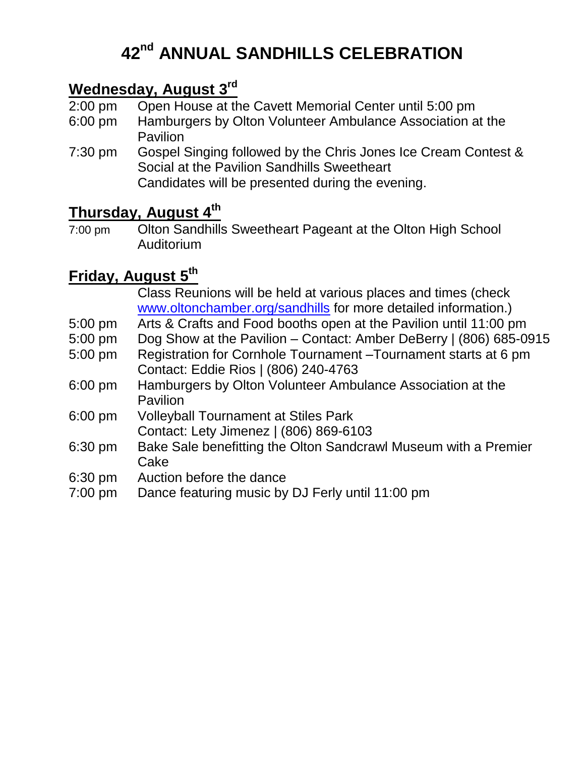# **42 nd ANNUAL SANDHILLS CELEBRATION**

#### **Wednesday, August 3 rd**

- 2:00 pm Open House at the Cavett Memorial Center until 5:00 pm
- 6:00 pm Hamburgers by Olton Volunteer Ambulance Association at the **Pavilion**
- 7:30 pm Gospel Singing followed by the Chris Jones Ice Cream Contest & Social at the Pavilion Sandhills Sweetheart Candidates will be presented during the evening.

### **Thursday, August 4 th**

7:00 pm Olton Sandhills Sweetheart Pageant at the Olton High School Auditorium

## **Friday, August 5 th**

|           | Class Reunions will be held at various places and times (check     |
|-----------|--------------------------------------------------------------------|
|           | www.oltonchamber.org/sandhills for more detailed information.)     |
| 5:00 pm   | Arts & Crafts and Food booths open at the Pavilion until 11:00 pm  |
| 5:00 pm   | Dog Show at the Pavilion – Contact: Amber DeBerry   (806) 685-0915 |
| 5:00 pm   | Registration for Cornhole Tournament - Tournament starts at 6 pm   |
|           | Contact: Eddie Rios   (806) 240-4763                               |
| 6:00 pm   | Hamburgers by Olton Volunteer Ambulance Association at the         |
|           | Pavilion                                                           |
| 6:00 pm   | <b>Volleyball Tournament at Stiles Park</b>                        |
|           | Contact: Lety Jimenez   (806) 869-6103                             |
| 6:30 pm   | Bake Sale benefitting the Olton Sandcrawl Museum with a Premier    |
|           | Cake                                                               |
| 6:30 pm   | Auction before the dance                                           |
| $7:00$ pm | Dance featuring music by DJ Ferly until 11:00 pm                   |
|           |                                                                    |